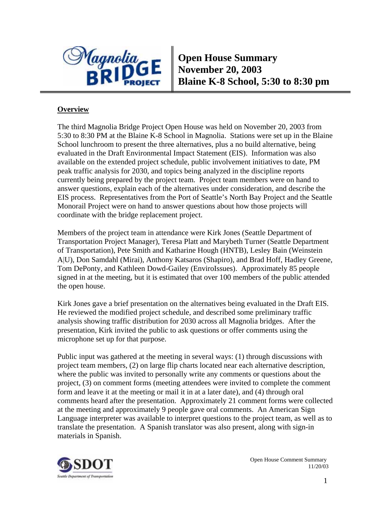

**Open House Summary November 20, 2003 Blaine K-8 School, 5:30 to 8:30 pm** 

# **Overview**

The third Magnolia Bridge Project Open House was held on November 20, 2003 from 5:30 to 8:30 PM at the Blaine K-8 School in Magnolia. Stations were set up in the Blaine School lunchroom to present the three alternatives, plus a no build alternative, being evaluated in the Draft Environmental Impact Statement (EIS). Information was also available on the extended project schedule, public involvement initiatives to date, PM peak traffic analysis for 2030, and topics being analyzed in the discipline reports currently being prepared by the project team. Project team members were on hand to answer questions, explain each of the alternatives under consideration, and describe the EIS process. Representatives from the Port of Seattle's North Bay Project and the Seattle Monorail Project were on hand to answer questions about how those projects will coordinate with the bridge replacement project.

Members of the project team in attendance were Kirk Jones (Seattle Department of Transportation Project Manager), Teresa Platt and Marybeth Turner (Seattle Department of Transportation), Pete Smith and Katharine Hough (HNTB), Lesley Bain (Weinstein A|U), Don Samdahl (Mirai), Anthony Katsaros (Shapiro), and Brad Hoff, Hadley Greene, Tom DePonty, and Kathleen Dowd-Gailey (EnviroIssues). Approximately 85 people signed in at the meeting, but it is estimated that over 100 members of the public attended the open house.

Kirk Jones gave a brief presentation on the alternatives being evaluated in the Draft EIS. He reviewed the modified project schedule, and described some preliminary traffic analysis showing traffic distribution for 2030 across all Magnolia bridges. After the presentation, Kirk invited the public to ask questions or offer comments using the microphone set up for that purpose.

Public input was gathered at the meeting in several ways: (1) through discussions with project team members, (2) on large flip charts located near each alternative description, where the public was invited to personally write any comments or questions about the project, (3) on comment forms (meeting attendees were invited to complete the comment form and leave it at the meeting or mail it in at a later date), and (4) through oral comments heard after the presentation. Approximately 21 comment forms were collected at the meeting and approximately 9 people gave oral comments. An American Sign Language interpreter was available to interpret questions to the project team, as well as to translate the presentation. A Spanish translator was also present, along with sign-in materials in Spanish.

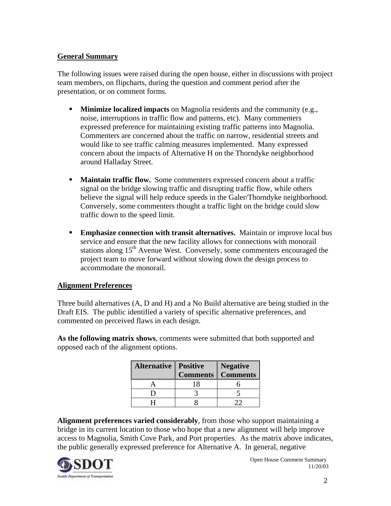# **General Summary**

The following issues were raised during the open house, either in discussions with project team members, on flipcharts, during the question and comment period after the presentation, or on comment forms.

- **Minimize localized impacts** on Magnolia residents and the community (e.g., noise, interruptions in traffic flow and patterns, etc). Many commenters expressed preference for maintaining existing traffic patterns into Magnolia. Commenters are concerned about the traffic on narrow, residential streets and would like to see traffic calming measures implemented. Many expressed concern about the impacts of Alternative H on the Thorndyke neighborhood around Halladay Street.
- **Maintain traffic flow.** Some commenters expressed concern about a traffic signal on the bridge slowing traffic and disrupting traffic flow, while others believe the signal will help reduce speeds in the Galer/Thorndyke neighborhood. Conversely, some commenters thought a traffic light on the bridge could slow traffic down to the speed limit.
- **Emphasize connection with transit alternatives.** Maintain or improve local bus service and ensure that the new facility allows for connections with monorail stations along  $15<sup>th</sup>$  Avenue West. Conversely, some commenters encouraged the project team to move forward without slowing down the design process to accommodate the monorail.

# **Alignment Preferences**

Three build alternatives (A, D and H) and a No Build alternative are being studied in the Draft EIS. The public identified a variety of specific alternative preferences, and commented on perceived flaws in each design.

**As the following matrix shows**, comments were submitted that both supported and opposed each of the alignment options.

| <b>Alternative   Positive</b> | <b>Negative</b><br><b>Comments Comments</b> |
|-------------------------------|---------------------------------------------|
|                               |                                             |
|                               |                                             |
|                               |                                             |

**Alignment preferences varied considerably**, from those who support maintaining a bridge in its current location to those who hope that a new alignment will help improve access to Magnolia, Smith Cove Park, and Port properties. As the matrix above indicates, the public generally expressed preference for Alternative A. In general, negative

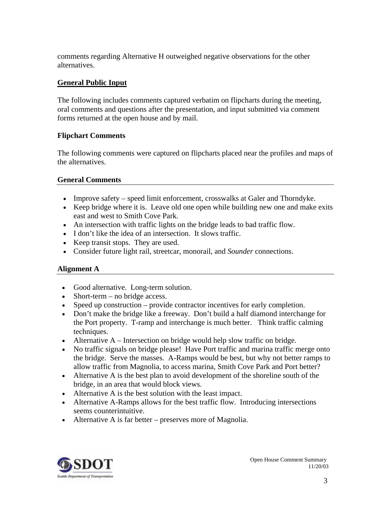comments regarding Alternative H outweighed negative observations for the other alternatives.

# **General Public Input**

The following includes comments captured verbatim on flipcharts during the meeting, oral comments and questions after the presentation, and input submitted via comment forms returned at the open house and by mail.

# **Flipchart Comments**

The following comments were captured on flipcharts placed near the profiles and maps of the alternatives.

# **General Comments**

- Improve safety speed limit enforcement, crosswalks at Galer and Thorndyke.
- Keep bridge where it is. Leave old one open while building new one and make exits east and west to Smith Cove Park.
- An intersection with traffic lights on the bridge leads to bad traffic flow.
- I don't like the idea of an intersection. It slows traffic.
- Keep transit stops. They are used.
- Consider future light rail, streetcar, monorail, and *Sounder* connections.

# **Alignment A**

- Good alternative. Long-term solution.
- Short-term no bridge access.
- Speed up construction provide contractor incentives for early completion.
- Don't make the bridge like a freeway. Don't build a half diamond interchange for the Port property. T-ramp and interchange is much better. Think traffic calming techniques.
- Alternative A Intersection on bridge would help slow traffic on bridge.
- No traffic signals on bridge please! Have Port traffic and marina traffic merge onto the bridge. Serve the masses. A-Ramps would be best, but why not better ramps to allow traffic from Magnolia, to access marina, Smith Cove Park and Port better?
- Alternative A is the best plan to avoid development of the shoreline south of the bridge, in an area that would block views.
- Alternative A is the best solution with the least impact.
- Alternative A-Ramps allows for the best traffic flow. Introducing intersections seems counterintuitive.
- Alternative A is far better preserves more of Magnolia.

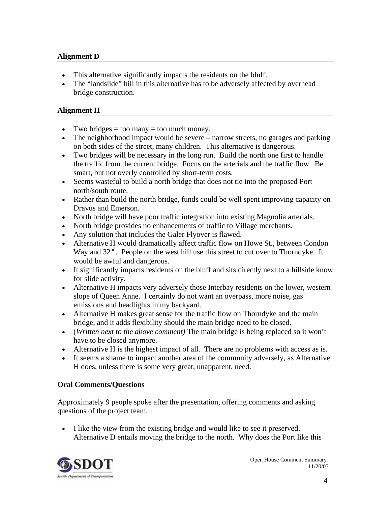#### **Alignment D**

- This alternative significantly impacts the residents on the bluff.
- The "landslide" hill in this alternative has to be adversely affected by overhead bridge construction.

#### **Alignment H**

- Two bridges  $=$  too many  $=$  too much money.
- The neighborhood impact would be severe narrow streets, no garages and parking on both sides of the street, many children. This alternative is dangerous.
- Two bridges will be necessary in the long run. Build the north one first to handle the traffic from the current bridge. Focus on the arterials and the traffic flow. Be smart, but not overly controlled by short-term costs.
- Seems wasteful to build a north bridge that does not tie into the proposed Port north/south route.
- Rather than build the north bridge, funds could be well spent improving capacity on Dravus and Emerson.
- North bridge will have poor traffic integration into existing Magnolia arterials.
- North bridge provides no enhancements of traffic to Village merchants.
- Any solution that includes the Galer Flyover is flawed.
- Alternative H would dramatically affect traffic flow on Howe St., between Condon Way and  $32<sup>nd</sup>$ . People on the west hill use this street to cut over to Thorndyke. It would be awful and dangerous.
- It significantly impacts residents on the bluff and sits directly next to a hillside know for slide activity.
- Alternative H impacts very adversely those Interbay residents on the lower, western slope of Queen Anne. I certainly do not want an overpass, more noise, gas emissions and headlights in my backyard.
- Alternative H makes great sense for the traffic flow on Thorndyke and the main bridge, and it adds flexibility should the main bridge need to be closed.
- (*Written next to the above comment)* The main bridge is being replaced so it won't have to be closed anymore.
- Alternative H is the highest impact of all. There are no problems with access as is.
- It seems a shame to impact another area of the community adversely, as Alternative H does, unless there is some very great, unapparent, need.

# **Oral Comments/Questions**

Approximately 9 people spoke after the presentation, offering comments and asking questions of the project team.

• I like the view from the existing bridge and would like to see it preserved. Alternative D entails moving the bridge to the north. Why does the Port like this

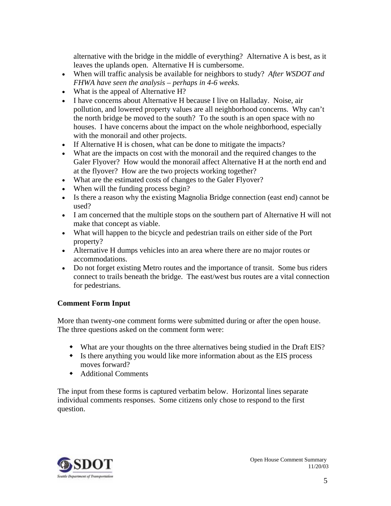alternative with the bridge in the middle of everything? Alternative A is best, as it leaves the uplands open. Alternative H is cumbersome.

- When will traffic analysis be available for neighbors to study? *After WSDOT and FHWA have seen the analysis – perhaps in 4-6 weeks.*
- What is the appeal of Alternative H?
- I have concerns about Alternative H because I live on Halladay. Noise, air pollution, and lowered property values are all neighborhood concerns. Why can't the north bridge be moved to the south? To the south is an open space with no houses. I have concerns about the impact on the whole neighborhood, especially with the monorail and other projects.
- If Alternative H is chosen, what can be done to mitigate the impacts?
- What are the impacts on cost with the monorail and the required changes to the Galer Flyover? How would the monorail affect Alternative H at the north end and at the flyover? How are the two projects working together?
- What are the estimated costs of changes to the Galer Flyover?
- When will the funding process begin?
- Is there a reason why the existing Magnolia Bridge connection (east end) cannot be used?
- I am concerned that the multiple stops on the southern part of Alternative H will not make that concept as viable.
- What will happen to the bicycle and pedestrian trails on either side of the Port property?
- Alternative H dumps vehicles into an area where there are no major routes or accommodations.
- Do not forget existing Metro routes and the importance of transit. Some bus riders connect to trails beneath the bridge. The east/west bus routes are a vital connection for pedestrians.

# **Comment Form Input**

More than twenty-one comment forms were submitted during or after the open house. The three questions asked on the comment form were:

- What are your thoughts on the three alternatives being studied in the Draft EIS?
- Is there anything you would like more information about as the EIS process moves forward?
- Additional Comments

The input from these forms is captured verbatim below. Horizontal lines separate individual comments responses. Some citizens only chose to respond to the first question.

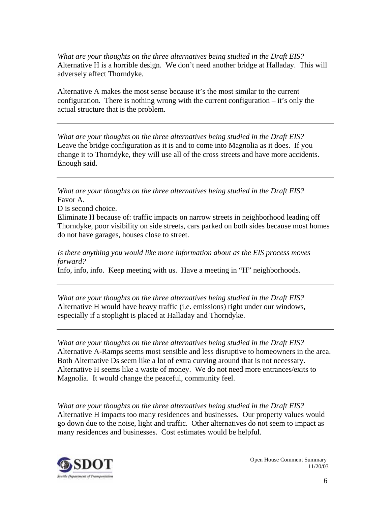*What are your thoughts on the three alternatives being studied in the Draft EIS?*  Alternative H is a horrible design. We don't need another bridge at Halladay. This will adversely affect Thorndyke.

Alternative A makes the most sense because it's the most similar to the current configuration. There is nothing wrong with the current configuration  $-$  it's only the actual structure that is the problem.

*What are your thoughts on the three alternatives being studied in the Draft EIS?*  Leave the bridge configuration as it is and to come into Magnolia as it does. If you change it to Thorndyke, they will use all of the cross streets and have more accidents. Enough said.

*What are your thoughts on the three alternatives being studied in the Draft EIS?*  Favor A.

D is second choice.

Eliminate H because of: traffic impacts on narrow streets in neighborhood leading off Thorndyke, poor visibility on side streets, cars parked on both sides because most homes do not have garages, houses close to street.

*Is there anything you would like more information about as the EIS process moves forward?* 

Info, info, info. Keep meeting with us. Have a meeting in "H" neighborhoods.

*What are your thoughts on the three alternatives being studied in the Draft EIS?*  Alternative H would have heavy traffic (i.e. emissions) right under our windows, especially if a stoplight is placed at Halladay and Thorndyke.

*What are your thoughts on the three alternatives being studied in the Draft EIS?*  Alternative A-Ramps seems most sensible and less disruptive to homeowners in the area. Both Alternative Ds seem like a lot of extra curving around that is not necessary. Alternative H seems like a waste of money. We do not need more entrances/exits to Magnolia. It would change the peaceful, community feel.

*What are your thoughts on the three alternatives being studied in the Draft EIS?*  Alternative H impacts too many residences and businesses. Our property values would go down due to the noise, light and traffic. Other alternatives do not seem to impact as many residences and businesses. Cost estimates would be helpful.

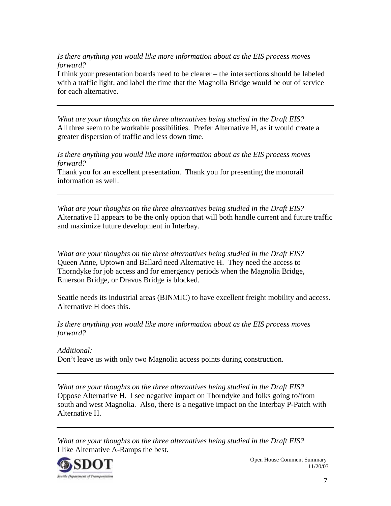*Is there anything you would like more information about as the EIS process moves forward?* 

I think your presentation boards need to be clearer – the intersections should be labeled with a traffic light, and label the time that the Magnolia Bridge would be out of service for each alternative.

*What are your thoughts on the three alternatives being studied in the Draft EIS?*  All three seem to be workable possibilities. Prefer Alternative H, as it would create a greater dispersion of traffic and less down time.

*Is there anything you would like more information about as the EIS process moves forward?* 

Thank you for an excellent presentation. Thank you for presenting the monorail information as well.

*What are your thoughts on the three alternatives being studied in the Draft EIS?*  Alternative H appears to be the only option that will both handle current and future traffic and maximize future development in Interbay.

*What are your thoughts on the three alternatives being studied in the Draft EIS?*  Queen Anne, Uptown and Ballard need Alternative H. They need the access to Thorndyke for job access and for emergency periods when the Magnolia Bridge, Emerson Bridge, or Dravus Bridge is blocked.

Seattle needs its industrial areas (BINMIC) to have excellent freight mobility and access. Alternative H does this.

*Is there anything you would like more information about as the EIS process moves forward?* 

*Additional:*  Don't leave us with only two Magnolia access points during construction.

*What are your thoughts on the three alternatives being studied in the Draft EIS?*  Oppose Alternative H. I see negative impact on Thorndyke and folks going to/from south and west Magnolia. Also, there is a negative impact on the Interbay P-Patch with Alternative H.

*What are your thoughts on the three alternatives being studied in the Draft EIS?*  I like Alternative A-Ramps the best.

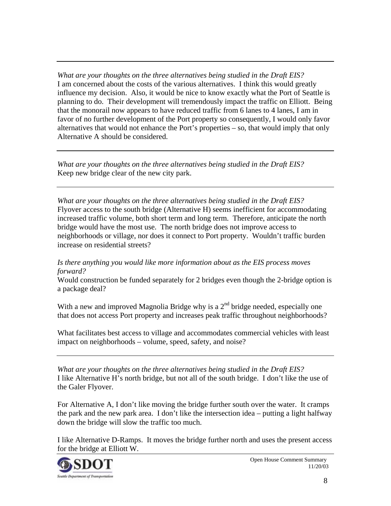*What are your thoughts on the three alternatives being studied in the Draft EIS?*  I am concerned about the costs of the various alternatives. I think this would greatly influence my decision. Also, it would be nice to know exactly what the Port of Seattle is planning to do. Their development will tremendously impact the traffic on Elliott. Being that the monorail now appears to have reduced traffic from 6 lanes to 4 lanes, I am in favor of no further development of the Port property so consequently, I would only favor alternatives that would not enhance the Port's properties – so, that would imply that only Alternative A should be considered.

*What are your thoughts on the three alternatives being studied in the Draft EIS?*  Keep new bridge clear of the new city park.

*What are your thoughts on the three alternatives being studied in the Draft EIS?*  Flyover access to the south bridge (Alternative H) seems inefficient for accommodating increased traffic volume, both short term and long term. Therefore, anticipate the north bridge would have the most use. The north bridge does not improve access to neighborhoods or village, nor does it connect to Port property. Wouldn't traffic burden increase on residential streets?

# *Is there anything you would like more information about as the EIS process moves forward?*

Would construction be funded separately for 2 bridges even though the 2-bridge option is a package deal?

With a new and improved Magnolia Bridge why is a  $2<sup>nd</sup>$  bridge needed, especially one that does not access Port property and increases peak traffic throughout neighborhoods?

What facilitates best access to village and accommodates commercial vehicles with least impact on neighborhoods – volume, speed, safety, and noise?

*What are your thoughts on the three alternatives being studied in the Draft EIS?*  I like Alternative H's north bridge, but not all of the south bridge. I don't like the use of the Galer Flyover.

For Alternative A, I don't like moving the bridge further south over the water. It cramps the park and the new park area. I don't like the intersection idea – putting a light halfway down the bridge will slow the traffic too much.

I like Alternative D-Ramps. It moves the bridge further north and uses the present access for the bridge at Elliott W.

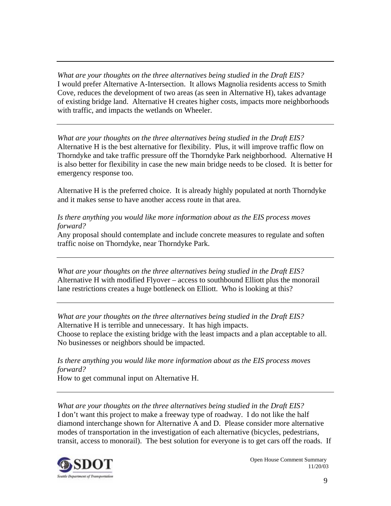*What are your thoughts on the three alternatives being studied in the Draft EIS?*  I would prefer Alternative A-Intersection. It allows Magnolia residents access to Smith Cove, reduces the development of two areas (as seen in Alternative H), takes advantage of existing bridge land. Alternative H creates higher costs, impacts more neighborhoods with traffic, and impacts the wetlands on Wheeler.

*What are your thoughts on the three alternatives being studied in the Draft EIS?*  Alternative H is the best alternative for flexibility. Plus, it will improve traffic flow on Thorndyke and take traffic pressure off the Thorndyke Park neighborhood. Alternative H is also better for flexibility in case the new main bridge needs to be closed. It is better for emergency response too.

Alternative H is the preferred choice. It is already highly populated at north Thorndyke and it makes sense to have another access route in that area.

#### *Is there anything you would like more information about as the EIS process moves forward?*

Any proposal should contemplate and include concrete measures to regulate and soften traffic noise on Thorndyke, near Thorndyke Park.

*What are your thoughts on the three alternatives being studied in the Draft EIS?*  Alternative H with modified Flyover – access to southbound Elliott plus the monorail lane restrictions creates a huge bottleneck on Elliott. Who is looking at this?

*What are your thoughts on the three alternatives being studied in the Draft EIS?*  Alternative H is terrible and unnecessary. It has high impacts. Choose to replace the existing bridge with the least impacts and a plan acceptable to all. No businesses or neighbors should be impacted.

*Is there anything you would like more information about as the EIS process moves forward?* 

How to get communal input on Alternative H.

*What are your thoughts on the three alternatives being studied in the Draft EIS?*  I don't want this project to make a freeway type of roadway. I do not like the half diamond interchange shown for Alternative A and D. Please consider more alternative modes of transportation in the investigation of each alternative (bicycles, pedestrians, transit, access to monorail). The best solution for everyone is to get cars off the roads. If

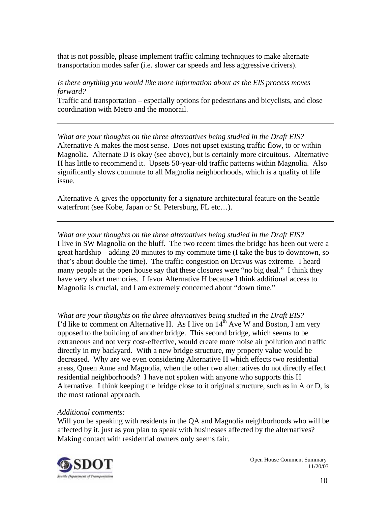that is not possible, please implement traffic calming techniques to make alternate transportation modes safer (i.e. slower car speeds and less aggressive drivers).

#### *Is there anything you would like more information about as the EIS process moves forward?*

Traffic and transportation – especially options for pedestrians and bicyclists, and close coordination with Metro and the monorail.

*What are your thoughts on the three alternatives being studied in the Draft EIS?*  Alternative A makes the most sense. Does not upset existing traffic flow, to or within Magnolia. Alternate D is okay (see above), but is certainly more circuitous. Alternative H has little to recommend it. Upsets 50-year-old traffic patterns within Magnolia. Also significantly slows commute to all Magnolia neighborhoods, which is a quality of life issue.

Alternative A gives the opportunity for a signature architectural feature on the Seattle waterfront (see Kobe, Japan or St. Petersburg, FL etc...).

*What are your thoughts on the three alternatives being studied in the Draft EIS?*  I live in SW Magnolia on the bluff. The two recent times the bridge has been out were a great hardship – adding 20 minutes to my commute time (I take the bus to downtown, so that's about double the time). The traffic congestion on Dravus was extreme. I heard many people at the open house say that these closures were "no big deal." I think they have very short memories. I favor Alternative H because I think additional access to Magnolia is crucial, and I am extremely concerned about "down time."

*What are your thoughts on the three alternatives being studied in the Draft EIS?*  I'd like to comment on Alternative H. As I live on  $14<sup>th</sup>$  Ave W and Boston, I am very opposed to the building of another bridge. This second bridge, which seems to be extraneous and not very cost-effective, would create more noise air pollution and traffic directly in my backyard. With a new bridge structure, my property value would be decreased. Why are we even considering Alternative H which effects two residential areas, Queen Anne and Magnolia, when the other two alternatives do not directly effect residential neighborhoods? I have not spoken with anyone who supports this H Alternative. I think keeping the bridge close to it original structure, such as in A or D, is the most rational approach.

# *Additional comments:*

Will you be speaking with residents in the QA and Magnolia neighborhoods who will be affected by it, just as you plan to speak with businesses affected by the alternatives? Making contact with residential owners only seems fair.